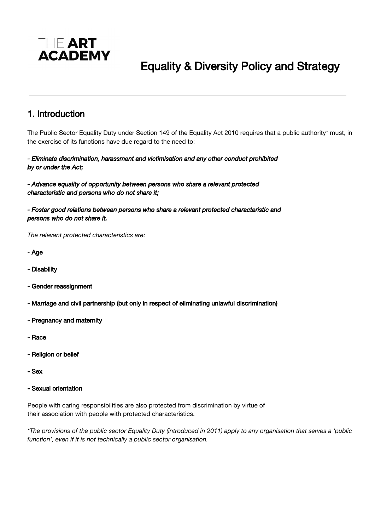

# Equality & Diversity Policy and Strategy

### 1. Introduction

The Public Sector Equality Duty under Section 149 of the Equality Act 2010 requires that a public authority\* must, in the exercise of its functions have due regard to the need to:

#### *- Eliminate discrimination, harassment and victimisation and any other conduct prohibited by or under the Act;*

*- Advance equality of opportunity between persons who share a relevant protected characteristic and persons who do not share it;* 

*- Foster good relations between persons who share a relevant protected characteristic and persons who do not share it.* 

*The relevant protected characteristics are:*

- Age
- Disability
- Gender reassignment
- Marriage and civil partnership (but only in respect of eliminating unlawful discrimination)
- Pregnancy and maternity
- Race
- Religion or belief
- Sex
- Sexual orientation

People with caring responsibilities are also protected from discrimination by virtue of their association with people with protected characteristics.

\*The provisions of the public sector Equality Duty (introduced in 2011) apply to any organisation that serves a 'public *function', even if it is not technically a public sector organisation.*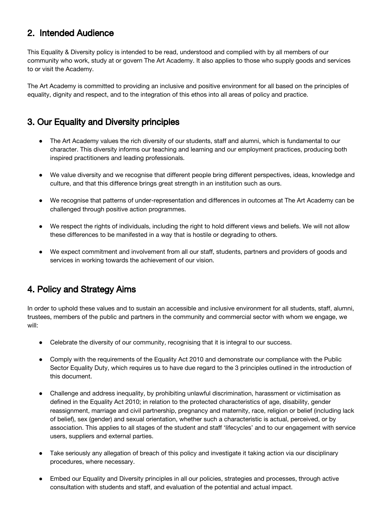### 2. Intended Audience

This Equality & Diversity policy is intended to be read, understood and complied with by all members of our community who work, study at or govern The Art Academy. It also applies to those who supply goods and services to or visit the Academy.

The Art Academy is committed to providing an inclusive and positive environment for all based on the principles of equality, dignity and respect, and to the integration of this ethos into all areas of policy and practice.

### 3. Our Equality and Diversity principles

- The Art Academy values the rich diversity of our students, staff and alumni, which is fundamental to our character. This diversity informs our teaching and learning and our employment practices, producing both inspired practitioners and leading professionals.
- We value diversity and we recognise that different people bring different perspectives, ideas, knowledge and culture, and that this difference brings great strength in an institution such as ours.
- We recognise that patterns of under-representation and differences in outcomes at The Art Academy can be challenged through positive action programmes.
- We respect the rights of individuals, including the right to hold different views and beliefs. We will not allow these differences to be manifested in a way that is hostile or degrading to others.
- We expect commitment and involvement from all our staff, students, partners and providers of goods and services in working towards the achievement of our vision.

### 4. Policy and Strategy Aims

In order to uphold these values and to sustain an accessible and inclusive environment for all students, staff, alumni, trustees, members of the public and partners in the community and commercial sector with whom we engage, we will:

- Celebrate the diversity of our community, recognising that it is integral to our success.
- Comply with the requirements of the Equality Act 2010 and demonstrate our compliance with the Public Sector Equality Duty, which requires us to have due regard to the 3 principles outlined in the introduction of this document.
- Challenge and address inequality, by prohibiting unlawful discrimination, harassment or victimisation as defined in the Equality Act 2010; in relation to the protected characteristics of age, disability, gender reassignment, marriage and civil partnership, pregnancy and maternity, race, religion or belief (including lack of belief), sex (gender) and sexual orientation, whether such a characteristic is actual, perceived, or by association. This applies to all stages of the student and staff 'lifecycles' and to our engagement with service users, suppliers and external parties.
- Take seriously any allegation of breach of this policy and investigate it taking action via our disciplinary procedures, where necessary.
- Embed our Equality and Diversity principles in all our policies, strategies and processes, through active consultation with students and staff, and evaluation of the potential and actual impact.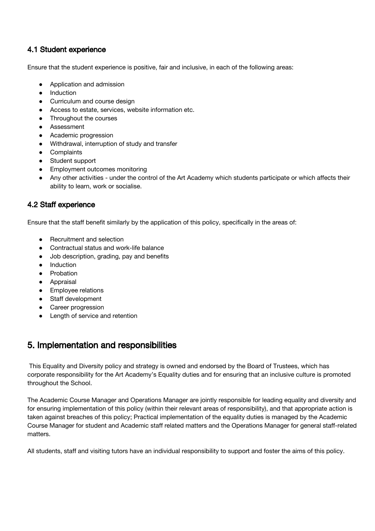### 4.1 Student experience

Ensure that the student experience is positive, fair and inclusive, in each of the following areas:

- Application and admission
- Induction
- Curriculum and course design
- Access to estate, services, website information etc.
- Throughout the courses
- Assessment
- Academic progression
- Withdrawal, interruption of study and transfer
- Complaints
- Student support
- Employment outcomes monitoring
- Any other activities under the control of the Art Academy which students participate or which affects their ability to learn, work or socialise.

### 4.2 Staff experience

Ensure that the staff benefit similarly by the application of this policy, specifically in the areas of:

- **Recruitment and selection**
- Contractual status and work-life balance
- Job description, grading, pay and benefits
- **Induction**
- Probation
- Appraisal
- Employee relations
- Staff development
- Career progression
- Length of service and retention

### 5. Implementation and responsibilities

This Equality and Diversity policy and strategy is owned and endorsed by the Board of Trustees, which has corporate responsibility for the Art Academy's Equality duties and for ensuring that an inclusive culture is promoted throughout the School.

The Academic Course Manager and Operations Manager are jointly responsible for leading equality and diversity and for ensuring implementation of this policy (within their relevant areas of responsibility), and that appropriate action is taken against breaches of this policy; Practical implementation of the equality duties is managed by the Academic Course Manager for student and Academic staff related matters and the Operations Manager for general staff-related matters.

All students, staff and visiting tutors have an individual responsibility to support and foster the aims of this policy.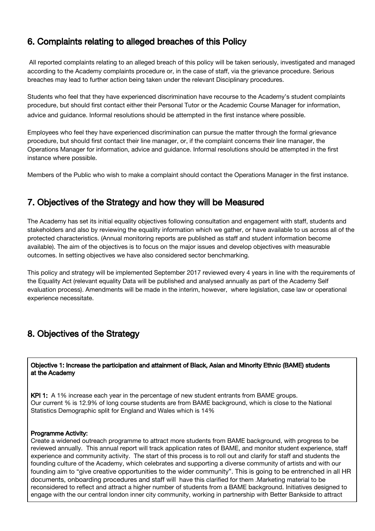## 6. Complaints relating to alleged breaches of this Policy

All reported complaints relating to an alleged breach of this policy will be taken seriously, investigated and managed according to the Academy complaints procedure or, in the case of staff, via the grievance procedure. Serious breaches may lead to further action being taken under the relevant Disciplinary procedures.

Students who feel that they have experienced discrimination have recourse to the Academy's student complaints procedure, but should first contact either their Personal Tutor or the Academic Course Manager for information, advice and guidance. Informal resolutions should be attempted in the first instance where possible.

Employees who feel they have experienced discrimination can pursue the matter through the formal grievance procedure, but should first contact their line manager, or, if the complaint concerns their line manager, the Operations Manager for information, advice and guidance. Informal resolutions should be attempted in the first instance where possible.

Members of the Public who wish to make a complaint should contact the Operations Manager in the first instance.

### 7. Objectives of the Strategy and how they will be Measured

The Academy has set its initial equality objectives following consultation and engagement with staff, students and stakeholders and also by reviewing the equality information which we gather, or have available to us across all of the protected characteristics. (Annual monitoring reports are published as staff and student information become available). The aim of the objectives is to focus on the major issues and develop objectives with measurable outcomes. In setting objectives we have also considered sector benchmarking.

This policy and strategy will be implemented September 2017 reviewed every 4 years in line with the requirements of the Equality Act (relevant equality Data will be published and analysed annually as part of the Academy Self evaluation process). Amendments will be made in the interim, however, where legislation, case law or operational experience necessitate.

### 8. Objectives of the Strategy

Objective 1: Increase the participation and attainment of Black, Asian and Minority Ethnic (BAME) students at the Academy

KPI 1: A 1% increase each year in the percentage of new student entrants from BAME groups. Our current % is 12.9% of long course students are from BAME background, which is close to the National Statistics Demographic split for England and Wales which is 14%

#### Programme Activity:

Create a widened outreach programme to attract more students from BAME background, with progress to be reviewed annually. This annual report will track application rates of BAME, and monitor student experience, staff experience and community activity. The start of this process is to roll out and clarify for staff and students the founding culture of the Academy, which celebrates and supporting a diverse community of artists and with our founding aim to "give creative opportunities to the wider community". This is going to be entrenched in all HR documents, onboarding procedures and staff will have this clarified for them .Marketing material to be reconsidered to reflect and attract a higher number of students from a BAME background. Initiatives designed to engage with the our central london inner city community, working in partnership with Better Bankside to attract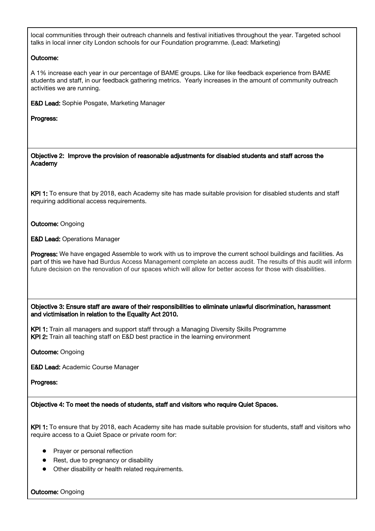local communities through their outreach channels and festival initiatives throughout the year. Targeted school talks in local inner city London schools for our Foundation programme. (Lead: Marketing)

#### Outcome:

A 1% increase each year in our percentage of BAME groups. Like for like feedback experience from BAME students and staff, in our feedback gathering metrics. Yearly increases in the amount of community outreach activities we are running.

E&D Lead: Sophie Posgate, Marketing Manager

#### Progress:

Objective 2: Improve the provision of reasonable adjustments for disabled students and staff across the Academy

KPI 1: To ensure that by 2018, each Academy site has made suitable provision for disabled students and staff requiring additional access requirements.

**Outcome: Ongoing** 

E&D Lead: Operations Manager

Progress: We have engaged Assemble to work with us to improve the current school buildings and facilities. As part of this we have had Burdus Access Management complete an access audit. The results of this audit will inform future decision on the renovation of our spaces which will allow for better access for those with disabilities.

Objective 3: Ensure staff are aware of their responsibilities to eliminate unlawful discrimination, harassment and victimisation in relation to the Equality Act 2010.

KPI 1: Train all managers and support staff through a Managing Diversity Skills Programme KPI 2: Train all teaching staff on E&D best practice in the learning environment

**Outcome: Ongoing** 

E&D Lead: Academic Course Manager

#### Progress:

Objective 4: To meet the needs of students, staff and visitors who require Quiet Spaces.

KPI 1: To ensure that by 2018, each Academy site has made suitable provision for students, staff and visitors who require access to a Quiet Space or private room for:

- Prayer or personal reflection
- Rest, due to pregnancy or disability
- Other disability or health related requirements.

**Outcome: Ongoing**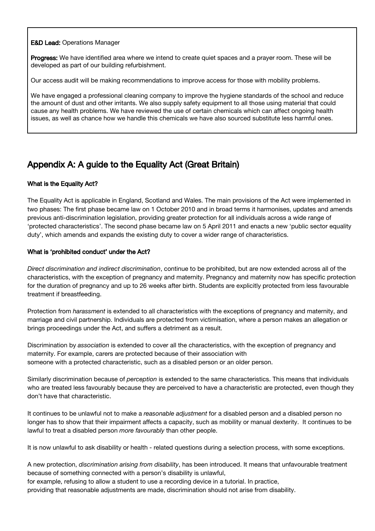#### **E&D Lead: Operations Manager**

Progress: We have identified area where we intend to create quiet spaces and a prayer room. These will be developed as part of our building refurbishment.

Our access audit will be making recommendations to improve access for those with mobility problems.

We have engaged a professional cleaning company to improve the hygiene standards of the school and reduce the amount of dust and other irritants. We also supply safety equipment to all those using material that could cause any health problems. We have reviewed the use of certain chemicals which can affect ongoing health issues, as well as chance how we handle this chemicals we have also sourced substitute less harmful ones.

# Appendix A: A guide to the Equality Act (Great Britain)

#### What is the Equality Act?

The Equality Act is applicable in England, Scotland and Wales. The main provisions of the Act were implemented in two phases: The first phase became law on 1 October 2010 and in broad terms it harmonises, updates and amends previous anti-discrimination legislation, providing greater protection for all individuals across a wide range of 'protected characteristics'. The second phase became law on 5 April 2011 and enacts a new 'public sector equality duty', which amends and expands the existing duty to cover a wider range of characteristics.

#### What is 'prohibited conduct' under the Act?

*Direct discrimination and indirect discrimination*, continue to be prohibited, but are now extended across all of the characteristics, with the exception of pregnancy and maternity. Pregnancy and maternity now has specific protection for the duration of pregnancy and up to 26 weeks after birth. Students are explicitly protected from less favourable treatment if breastfeeding.

Protection from *harassment* is extended to all characteristics with the exceptions of pregnancy and maternity, and marriage and civil partnership. Individuals are protected from victimisation, where a person makes an allegation or brings proceedings under the Act, and suffers a detriment as a result.

Discrimination by *association* is extended to cover all the characteristics, with the exception of pregnancy and maternity. For example, carers are protected because of their association with someone with a protected characteristic, such as a disabled person or an older person.

Similarly discrimination because of *perception* is extended to the same characteristics. This means that individuals who are treated less favourably because they are perceived to have a characteristic are protected, even though they don't have that characteristic.

It continues to be unlawful not to make a *reasonable adjustment* for a disabled person and a disabled person no longer has to show that their impairment affects a capacity, such as mobility or manual dexterity. It continues to be lawful to treat a disabled person *more favourably* than other people.

It is now unlawful to ask disability or health - related questions during a selection process, with some exceptions.

A new protection, *discrimination arising from disability*, has been introduced. It means that unfavourable treatment because of something connected with a person's disability is unlawful,

for example, refusing to allow a student to use a recording device in a tutorial. In practice,

providing that reasonable adjustments are made, discrimination should not arise from disability.